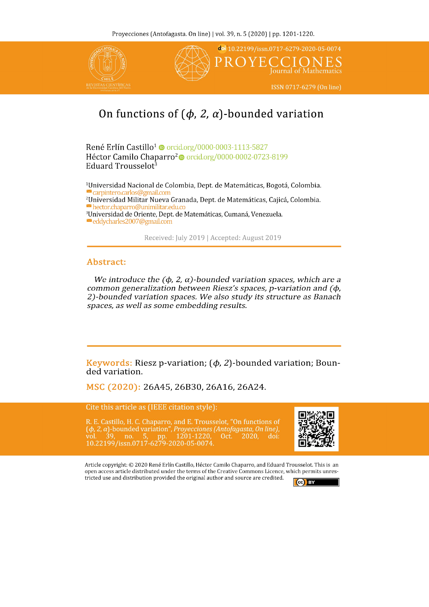

# On functions of  $(\phi, 2, \alpha)$ -bounded variation

René Erlín Castillo<sup>1</sup> @ orcid.org/0000-0003-1113-5827 Héctor Camilo Chaparro<sup>2</sup> orcid.org/0000-0002-0723-8199 Eduard Trousselot<sup>3</sup>

<sup>1</sup>Universidad Nacional de Colombia, Dept. de Matemáticas, Bogotá, Colombia. carpintero.carlos@gmail.com <sup>2</sup>Universidad Militar Nueva Granada, Dept. de Matemáticas, Cajicá, Colombia. hector.chaparro@unimilitar.edu.co <sup>3</sup>Universidad de Oriente, Dept. de Matemáticas, Cumaná, Venezuela.

eddycharles2007@gmail.com

Received: July 2019 | Accepted: August 2019

## Abstract:

We introduce the  $(\phi, 2, \alpha)$ -bounded variation spaces, which are a common generalization between Riesz's spaces, p-variation and  $(\phi,$ 2)-bounded variation spaces. We also study its structure as Banach spaces, as well as some embedding results.

**Keywords:** Riesz p-variation;  $(\phi, 2)$ -bounded variation; Bounded variation.

MSC (2020): 26A45, 26B30, 26A16, 26A24.

Cite this article as (IEEE citation style):

R. E. Castillo, H. C. Chaparro, and E. Trousselot, "On functions of  $(\phi, 2, \alpha)$ -bounded variation", *Proyecciones (Antofagasta, On line)*, vol. 39, no. 5, pp. 1201-1220, Oct. 2020, doi: 10.22199/issn.0717-6279-2020-05-007



Article copyright: © 2020 René Erlín Castillo, Héctor Camilo Chaparro, and Eduard Trousselot. This is an open access article distributed under the terms of the Creative Commons Licence, which permits unrestricted use and distribution provided the original author and source are credited.

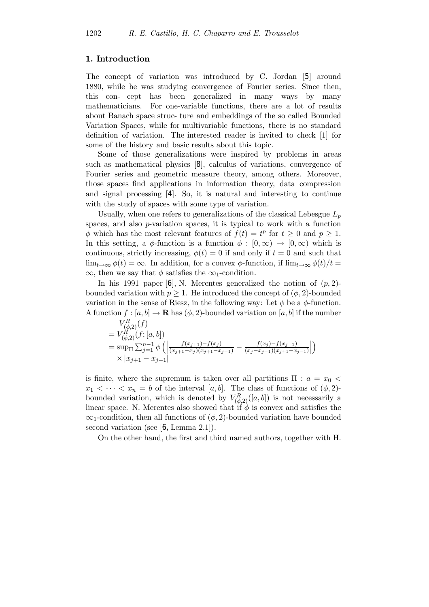#### 1. Introduction

The concept of variation was introduced by C. Jordan [[5](#page-19-0)] around 1880, while he was studying convergence of Fourier series. Since then, this con- cept has been generalized in many ways by many mathematicians. For one-variable functions, there are a lot of results about Banach space struc- ture and embeddings of the so called Bounded Variation Spaces, while for multivariable functions, there is no standard definition of variation. The interested reader is invited to check [\[1\]](#page-18-0) for some of the history and basic results about this topic.

Some of those generalizations were inspired by problems in areas such as mathematical physics [[8](#page-19-0)], calculus of variations, convergence of Fourier series and geometric measure theory, among others. Moreover, those spaces find applications in information theory, data compression and signal processing [[4](#page-19-0)]. So, it is natural and interesting to continue with the study of spaces with some type of variation.

Usually, when one refers to generalizations of the classical Lebesgue  $L_p$ spaces, and also p-variation spaces, it is typical to work with a function  $\phi$  which has the most relevant features of  $f(t) = t^p$  for  $t \geq 0$  and  $p \geq 1$ . In this setting, a  $\phi$ -function is a function  $\phi : [0, \infty) \to [0, \infty)$  which is continuous, strictly increasing,  $\phi(t) = 0$  if and only if  $t = 0$  and such that  $\lim_{t\to\infty}\phi(t)=\infty$ . In addition, for a convex  $\phi$ -function, if  $\lim_{t\to\infty}\phi(t)/t=$  $\infty$ , then we say that  $\phi$  satisfies the  $\infty$ <sub>1</sub>-condition.

In his 1991 paper  $[6]$  $[6]$  $[6]$ , N. Merentes generalized the notion of  $(p, 2)$ bounded variation with  $p \geq 1$ . He introduced the concept of  $(\phi, 2)$ -bounded variation in the sense of Riesz, in the following way: Let  $\phi$  be a  $\phi$ -function. A function  $f : [a, b] \to \mathbf{R}$  has  $(\phi, 2)$ -bounded variation on  $[a, b]$  if the number

$$
V_{(\phi,2)}^{R}(f)
$$
  
=  $V_{(\phi,2)}^{R}(f; [a, b])$   
=  $\sup_{\Pi} \sum_{j=1}^{n-1} \phi \left( \left| \frac{f(x_{j+1}) - f(x_j)}{(x_{j+1} - x_j)(x_{j+1} - x_{j-1})} - \frac{f(x_j) - f(x_{j-1})}{(x_j - x_{j-1})(x_{j+1} - x_{j-1})} \right| \right)$   
 $\times |x_{j+1} - x_{j-1}|$ 

is finite, where the supremum is taken over all partitions  $\Pi$  :  $a = x_0$  $x_1 < \cdots < x_n = b$  of the interval [a, b]. The class of functions of  $(\phi, 2)$ bounded variation, which is denoted by  $V_{(\phi,2)}^R([a,b])$  is not necessarily a linear space. N. Merentes also showed that if  $\phi$  is convex and satisfies the  $\infty_1$ -condition, then all functions of  $(\phi, 2)$ -bounded variation have bounded second variation (see [[6,](#page-19-0) Lemma 2.1]).

On the other hand, the first and third named authors, together with H.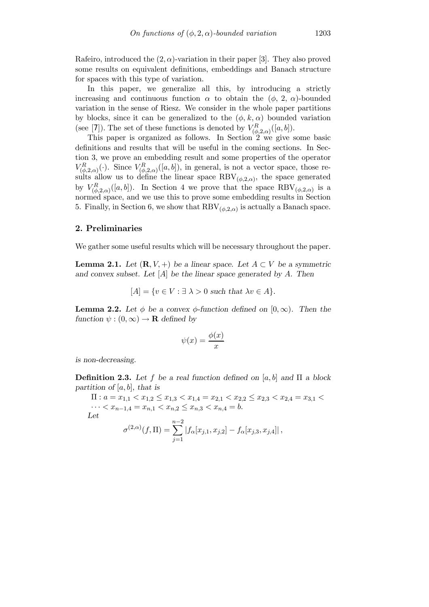Rafeiro, introduced the  $(2, \alpha)$ -variation in their paper [\[3\]](#page-18-0). They also proved some results on equivalent definitions, embeddings and Banach structure for spaces with this type of variation.

In this paper, we generalize all this, by introducing a strictly increasing and continuous function  $\alpha$  to obtain the  $(\phi, 2, \alpha)$ -bounded variation in the sense of Riesz. We consider in the whole paper partitions by blocks, since it can be generalized to the  $(\phi, k, \alpha)$  bounded variation (see [[7](#page-19-0)]). The set of these functions is denoted by  $V_{(\phi,2,\alpha)}^R([a,b])$ .

This paper is organized as follows. In Section  $2 \le \infty$  give some basic definitions and results that will be useful in the coming sections. In Section 3, we prove an embedding result and some properties of the operator  $V_{(\phi,2,\alpha)}^R(\cdot)$ . Since  $V_{(\phi,2,\alpha)}^R([a,b])$ , in general, is not a vector space, those results allow us to define the linear space  $\text{RBV}_{(\phi,2,\alpha)}$ , the space generated by  $V_{(\phi,2,\alpha)}^R([a,b])$ . In Section 4 we prove that the space  $\text{RBV}_{(\phi,2,\alpha)}$  is a normed space, and we use this to prove some embedding results in Section 5. Finally, in Section 6, we show that  $\text{RBV}_{(\phi,2,\alpha)}$  is actually a Banach space.

#### 2. Preliminaries

We gather some useful results which will be necessary throughout the paper.

**Lemma 2.1.** Let  $(\mathbf{R}, V, +)$  be a linear space. Let  $A \subset V$  be a symmetric and convex subset. Let  $[A]$  be the linear space generated by A. Then

$$
[A] = \{ v \in V : \exists \lambda > 0 \text{ such that } \lambda v \in A \}.
$$

**Lemma 2.2.** Let  $\phi$  be a convex  $\phi$ -function defined on [0, $\infty$ ). Then the function  $\psi : (0, \infty) \to \mathbf{R}$  defined by

$$
\psi(x) = \frac{\phi(x)}{x}
$$

is non-decreasing.

Definition 2.3. Let f be a real function defined on [a, b] and  $\Pi$  a block partition of  $[a, b]$ , that is

 $\Pi: a = x_{1,1} < x_{1,2} \leq x_{1,3} < x_{1,4} = x_{2,1} < x_{2,2} \leq x_{2,3} < x_{2,4} = x_{3,1} < x_{3,2} < x_{3,3} < x_{3,4}$  $\cdots < x_{n-1,4} = x_{n,1} < x_{n,2} \le x_{n,3} < x_{n,4} = b.$ Let

$$
\sigma^{(2,\alpha)}(f,\Pi) = \sum_{j=1}^{n-2} |f_{\alpha}[x_{j,1}, x_{j,2}] - f_{\alpha}[x_{j,3}, x_{j,4}]|,
$$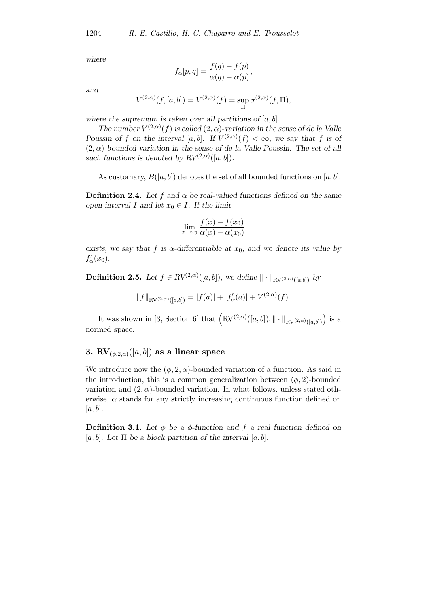where

$$
f_{\alpha}[p,q] = \frac{f(q) - f(p)}{\alpha(q) - \alpha(p)},
$$

and

$$
V^{(2,\alpha)}(f,[a,b]) = V^{(2,\alpha)}(f) = \sup_{\Pi} \sigma^{(2,\alpha)}(f,\Pi),
$$

where the supremum is taken over all partitions of  $[a, b]$ .

The number  $V^{(2,\alpha)}(f)$  is called  $(2,\alpha)$ -variation in the sense of de la Valle Poussin of f on the interval [a, b]. If  $V^{(2,\alpha)}(f) < \infty$ , we say that f is of  $(2, \alpha)$ -bounded variation in the sense of de la Valle Poussin. The set of all such functions is denoted by  $RV^{(2,\alpha)}([a, b])$ .

As customary,  $B([a, b])$  denotes the set of all bounded functions on [a, b].

**Definition 2.4.** Let f and  $\alpha$  be real-valued functions defined on the same open interval I and let  $x_0 \in I$ . If the limit

$$
\lim_{x \to x_0} \frac{f(x) - f(x_0)}{\alpha(x) - \alpha(x_0)}
$$

exists, we say that f is  $\alpha$ -differentiable at  $x_0$ , and we denote its value by  $f'_{\alpha}(x_0)$ .

**Definition 2.5.** Let  $f \in RV^{(2,\alpha)}([a,b])$ , we define  $\|\cdot\|_{RV^{(2,\alpha)}([a,b])}$  by

$$
||f||_{\text{RV}(2,\alpha)}([a,b]) = |f(a)| + |f'_{\alpha}(a)| + V^{(2,\alpha)}(f).
$$

It was shown in [\[3,](#page-18-0) Section 6] that  $\left(\text{RV}^{(2,\alpha)}([a,b]),\|\cdot\|_{\text{RV}^{(2,\alpha)}([a,b])}\right)$  is a normed space.

# 3. RV<sub> $(\phi,2,\alpha)$ </sub> $([a, b])$  as a linear space

We introduce now the  $(\phi, 2, \alpha)$ -bounded variation of a function. As said in the introduction, this is a common generalization between  $(\phi, 2)$ -bounded variation and  $(2, \alpha)$ -bounded variation. In what follows, unless stated otherwise,  $\alpha$  stands for any strictly increasing continuous function defined on  $[a, b]$ .

**Definition 3.1.** Let  $\phi$  be a  $\phi$ -function and f a real function defined on [a, b]. Let  $\Pi$  be a block partition of the interval [a, b],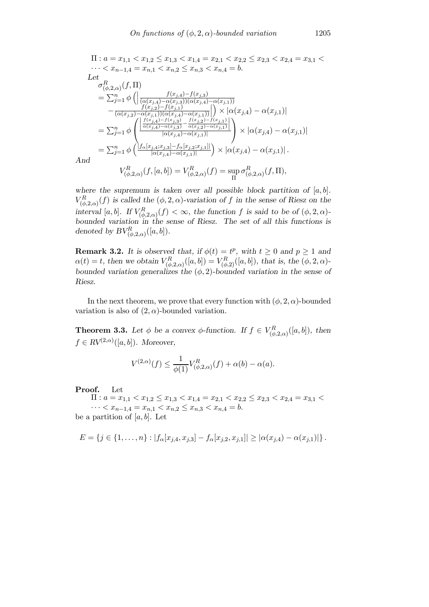$\Pi: a = x_{1,1} < x_{1,2} \leq x_{1,3} < x_{1,4} = x_{2,1} < x_{2,2} \leq x_{2,3} < x_{2,4} = x_{3,1} < x_{3,2} < x_{3,3} < x_{3,4}$  $\cdots < x_{n-1,4} = x_{n,1} < x_{n,2} \leq x_{n,3} < x_{n,4} = b.$ Let  $\sigma^R_{(\phi,2,\alpha)}(f,\Pi)$  $=\sum_{j=1}^n\phi\left(\right)$  $f(x_{j,4})-f(x_{j,3})$  $(\alpha(x_{j,4})-\alpha(x_{j,3}))(\alpha(x_{j,4})-\alpha(x_{j,1}))$  $-\frac{f(x_{j,2})-f(x_{j,1})}{(\alpha(x_{j,2})-\alpha(x_{j,1}))(\alpha(x_{j,4})-\alpha(x_{j,1}))}$  $\begin{array}{c} \begin{array}{c} \begin{array}{c} \end{array} \\ \begin{array}{c} \end{array} \end{array} \end{array}$  $\int \times |\alpha(x_{j,4}) - \alpha(x_{j,1})|$  $=\sum_{j=1}^n \phi$  $\gamma$  $\mathsf{I}$ ¯ ¯ ¯  $\frac{f(x_{j,4})-f(x_{j,3})}{\alpha(x_{j,4})-\alpha(x_{j,3})}-\frac{f(x_{j,2})-f(x_{j,1})}{\alpha(x_{j,2})-\alpha(x_{j,1})}$ ¯ ¯ ¯  $|\alpha(x_{j,4})-\alpha(x_{j,1})|$  $\setminus$  $\vert \times \vert \alpha(x_{j,4}) - \alpha(x_{j,1}) \vert$  $=\sum_{j=1}^n \phi\left(\frac{|f_{\alpha}[x_{j,4};x_{j,3}]-f_{\alpha}[x_{j,2};x_{j,1}]|}{|\alpha(x_{j,4})-\alpha(x_{j,1})|}\right)$  $|\alpha(x_{j,4})-\alpha(x_{j,1})|$  $\Big) \times |\alpha(x_{j,4}) - \alpha(x_{j,1})|.$  $V_{(b)}^R$  $V^{R}_{(\phi,2,\alpha)}(f,[a,b])=V^{R}_{(\phi)}$  $\sigma_{\ell d}^R$ 

And

$$
V_{(\phi,2,\alpha)}^{R}(f,[a,b])=V_{(\phi,2,\alpha)}^{R}(f)=\sup_{\Pi}\sigma_{(\phi,2,\alpha)}^{R}(f,\Pi),
$$

where the supremum is taken over all possible block partition of  $[a, b]$ .  $V_{(\phi,2,\alpha)}^{R}(f)$  is called the  $(\phi,2,\alpha)$ -variation of f in the sense of Riesz on the interval [a, b]. If  $V^R_{(\phi,2,\alpha)}(f) < \infty$ , the function f is said to be of  $(\phi,2,\alpha)$ bounded variation in the sense of Riesz. The set of all this functions is denoted by  $BV^R_{(\phi,2,\alpha)}([a,b])$ .

**Remark 3.2.** It is observed that, if  $\phi(t) = t^p$ , with  $t \geq 0$  and  $p \geq 1$  and  $\alpha(t) = t$ , then we obtain  $V_{(\phi,2,\alpha)}^{R}([a,b]) = V_{(\phi,2)}^{R}([a,b])$ , that is, the  $(\phi,2,\alpha)$ bounded variation generalizes the  $(\phi, 2)$ -bounded variation in the sense of Riesz.

In the next theorem, we prove that every function with  $(\phi, 2, \alpha)$ -bounded variation is also of  $(2, \alpha)$ -bounded variation.

**Theorem 3.3.** Let  $\phi$  be a convex  $\phi$ -function. If  $f \in V_{(\phi,2,\alpha)}^R([a,b])$ , then  $f \in RV^{(2,\alpha)}([a,b])$ . Moreover,

$$
V^{(2,\alpha)}(f) \le \frac{1}{\phi(1)} V^{R}_{(\phi,2,\alpha)}(f) + \alpha(b) - \alpha(a).
$$

Proof. Let

 $\Pi: a = x_{1,1} < x_{1,2} \leq x_{1,3} < x_{1,4} = x_{2,1} < x_{2,2} \leq x_{2,3} < x_{2,4} = x_{3,1} < x_{3,2} < x_{3,3} < x_{3,4}$  $\cdots < x_{n-1,4} = x_{n,1} < x_{n,2} \leq x_{n,3} < x_{n,4} = b.$ 

be a partition of  $[a, b]$ . Let

$$
E = \{j \in \{1, ..., n\} : |f_{\alpha}[x_{j,4}, x_{j,3}] - f_{\alpha}[x_{j,2}, x_{j,1}]| \geq |\alpha(x_{j,4}) - \alpha(x_{j,1})|\}.
$$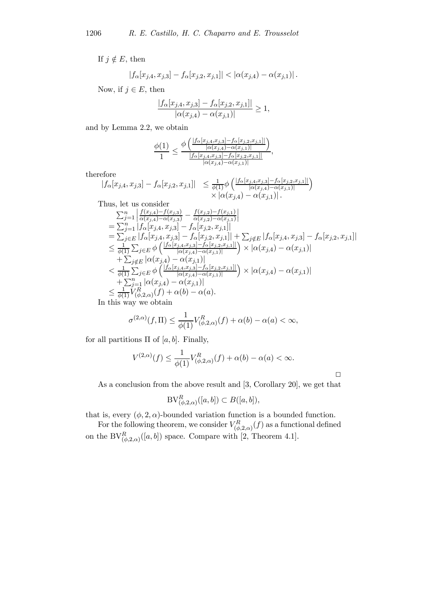If  $j \notin E$ , then

$$
|f_{\alpha}[x_{j,4}, x_{j,3}] - f_{\alpha}[x_{j,2}, x_{j,1}]| < |\alpha(x_{j,4}) - \alpha(x_{j,1})|.
$$

Now, if  $j \in E$ , then

$$
\frac{|f_{\alpha}[x_{j,4}, x_{j,3}] - f_{\alpha}[x_{j,2}, x_{j,1}]|}{|\alpha(x_{j,4}) - \alpha(x_{j,1})|} \ge 1,
$$

and by Lemma 2.2, we obtain

$$
\frac{\phi(1)}{1} \le \frac{\phi\left(\frac{|f_{\alpha}[x_{j,4},x_{j,3}]-f_{\alpha}[x_{j,2},x_{j,1}]|}{|\alpha(x_{j,4})-\alpha(x_{j,1})|}\right)}{\frac{|f_{\alpha}[x_{j,4},x_{j,3}]-f_{\alpha}[x_{j,2},x_{j,1}]|}{|\alpha(x_{j,4})-\alpha(x_{j,1})|}},
$$

therefore

reore  
\n|*f*<sub>α</sub>[*x*<sub>j,4</sub>, *x*<sub>j,3</sub>] − *f*<sub>α</sub>[*x*<sub>j,2</sub>, *x*<sub>j,1</sub>] | ≤ 
$$
\frac{1}{\phi(1)}\phi\left(\frac{|f_{\alpha}[x_{j,4},x_{j,3}]-f_{\alpha}[x_{j,2},x_{j,1}]]}{|\alpha(x_{j,4})-\alpha(x_{j,1})|}\right)
$$
  
\nThus, let us consider  
\n
$$
\sum_{j=1}^{n} \left| \frac{f(x_{j,4})-f(x_{j,3})}{\alpha(x_{j,4})-\alpha(x_{j,3})} - \frac{f(x_{j,2})-f(x_{j,1})}{\alpha(x_{j,2})-\alpha(x_{j,1})}\right|
$$
\n
$$
= \sum_{j=1}^{n} |f_{\alpha}[x_{j,4},x_{j,3}] - f_{\alpha}[x_{j,2},x_{j,1}]|
$$
\n
$$
= \sum_{j\in E} |f_{\alpha}[x_{j,4},x_{j,3}] - f_{\alpha}[x_{j,2},x_{j,1}]| + \sum_{j\notin E} |f_{\alpha}[x_{j,4},x_{j,3}] - f_{\alpha}[x_{j,2},x_{j,1}]|
$$
\n
$$
\leq \frac{1}{\phi(1)} \sum_{j\in E} \phi\left(\frac{|f_{\alpha}[x_{j,4},x_{j,3}]-f_{\alpha}[x_{j,2},x_{j,1}]]}{|\alpha(x_{j,4})-\alpha(x_{j,1})|}\right) \times |\alpha(x_{j,4})-\alpha(x_{j,1})|
$$
\n+
$$
\sum_{j\notin E} |\alpha(x_{j,4})-\alpha(x_{j,1})|
$$
\n
$$
< \frac{1}{\phi(1)} \sum_{j\in E} \phi\left(\frac{|f_{\alpha}[x_{j,4},x_{j,3}]-f_{\alpha}[x_{j,2},x_{j,1}]]}{|\alpha(x_{j,4})-\alpha(x_{j,1})|}\right) \times |\alpha(x_{j,4})-\alpha(x_{j,1})|
$$
\n+
$$
\sum_{j=1}^{n} |\alpha(x_{j,4})-\alpha(x_{j,1})|
$$
\n
$$
\leq \frac{1}{\phi(1)} V_{(\phi,2,\alpha)}^{R}(f) + \
$$

In this way we obtain

$$
\sigma^{(2,\alpha)}(f,\Pi) \le \frac{1}{\phi(1)} V^R_{(\phi,2,\alpha)}(f) + \alpha(b) - \alpha(a) < \infty,
$$

for all partitions  $\Pi$  of [a, b]. Finally,

$$
V^{(2,\alpha)}(f) \le \frac{1}{\phi(1)} V^R_{(\phi,2,\alpha)}(f) + \alpha(b) - \alpha(a) < \infty.
$$

 $\Box$ 

As a conclusion from the above result and [\[3,](#page-18-0) Corollary 20], we get that

$$
\mathrm{BV}^R_{(\phi,2,\alpha)}([a,b]) \subset B([a,b]),
$$

that is, every  $(\phi, 2, \alpha)$ -bounded variation function is a bounded function.

For the following theorem, we consider  $V_{(\phi,2,\alpha)}^{R}(f)$  as a functional defined on the  $BV_{(\phi,2,\alpha)}^R([a,b])$  space. Compare with [\[2,](#page-18-0) Theorem 4.1].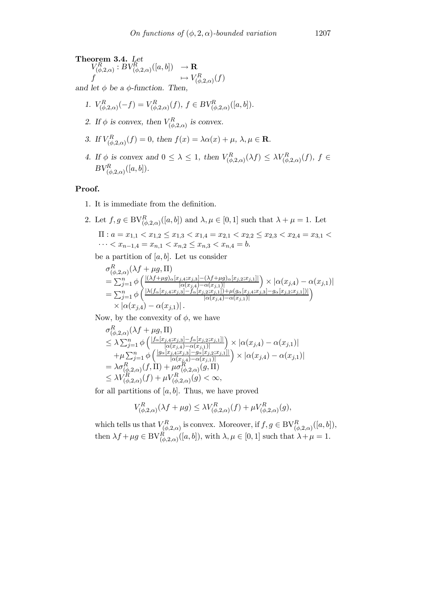Theorem 3.4. Let  $V_{(\phi,2,\alpha)}^R : BV_{(\phi,2,\alpha)}^R([a,b]) \longrightarrow \mathbf{R}$ f  $\rightarrow V^R_{(\phi,2,\alpha)}(f)$ and let  $\phi$  be a  $\phi$ -function. Then,

1. 
$$
V_{(\phi,2,\alpha)}^R(-f) = V_{(\phi,2,\alpha)}^R(f), \ f \in BV_{(\phi,2,\alpha)}^R([a,b]).
$$

- 2. If  $\phi$  is convex, then  $V_{(\phi,2,\alpha)}^R$  is convex.
- 3. If  $V_{(\phi,2,\alpha)}^R(f) = 0$ , then  $f(x) = \lambda \alpha(x) + \mu$ ,  $\lambda, \mu \in \mathbb{R}$ .
- 4. If  $\phi$  is convex and  $0 \leq \lambda \leq 1$ , then  $V_{(\phi,2,\alpha)}^R(\lambda f) \leq \lambda V_{(\phi,2,\alpha)}^R(f)$ ,  $f \in$  $BV^R_{(\phi,2,\alpha)}([a,b]).$

# Proof.

1. It is immediate from the definition.

2. Let 
$$
f, g \in BV_{(\phi,2,\alpha)}^R([a,b])
$$
 and  $\lambda, \mu \in [0,1]$  such that  $\lambda + \mu = 1$ . Let  
\n
$$
\Pi: a = x_{1,1} < x_{1,2} \le x_{1,3} < x_{1,4} = x_{2,1} < x_{2,2} \le x_{2,3} < x_{2,4} = x_{3,1} < \cdots < x_{n-1,4} = x_{n,1} < x_{n,2} \le x_{n,3} < x_{n,4} = b.
$$

be a partition of  $[a, b]$ . Let us consider

$$
\sigma_{(\phi,2,\alpha)}^{R}(\lambda f + \mu g, \Pi)
$$
\n
$$
= \sum_{j=1}^{n} \phi \left( \frac{|(\lambda f + \mu g)_{\alpha}[x_{j,4}; x_{j,3}] - (\lambda f + \mu g)_{\alpha}[x_{j,2}; x_{j,1}]|}{|\alpha(x_{j,4}) - \alpha(x_{j,1})|} \right) \times |\alpha(x_{j,4}) - \alpha(x_{j,1})|
$$
\n
$$
= \sum_{j=1}^{n} \phi \left( \frac{|\lambda(f_{\alpha}[x_{j,4}; x_{j,3}] - f_{\alpha}[x_{j,2}; x_{j,1}]) + \mu(g_{\alpha}[x_{j,4}; x_{j,3}] - g_{\alpha}[x_{j,2}; x_{j,1}])|}{|\alpha(x_{j,4}) - \alpha(x_{j,1})|} \right)
$$
\n
$$
\times |\alpha(x_{j,4}) - \alpha(x_{j,1})|.
$$

Now, by the convexity of  $\phi$ , we have

$$
\sigma_{(\phi,2,\alpha)}^{R}(\lambda f + \mu g, \Pi) \n\leq \lambda \sum_{j=1}^{n} \phi \left( \frac{|f_{\alpha}[x_{j,4}:x_{j,3}] - f_{\alpha}[x_{j,2}:x_{j,1}]|}{|\alpha(x_{j,4}) - \alpha(x_{j,1})|} \right) \times |\alpha(x_{j,4}) - \alpha(x_{j,1})| \n+ \mu \sum_{j=1}^{n} \phi \left( \frac{|g_{\alpha}[x_{j,4}:x_{j,3}] - g_{\alpha}[x_{j,2}:x_{j,1}]|}{|\alpha(x_{j,4}) - \alpha(x_{j,1})|} \right) \times |\alpha(x_{j,4}) - \alpha(x_{j,1})| \n= \lambda \sigma_{(\phi,2,\alpha)}^{R}(f, \Pi) + \mu \sigma_{(\phi,2,\alpha)}^{R}(g, \Pi) \n\leq \lambda V_{(\phi,2,\alpha)}^{R}(f) + \mu V_{(\phi,2,\alpha)}^{R}(g) < \infty,
$$

for all partitions of  $[a, b]$ . Thus, we have proved

$$
V_{(\phi,2,\alpha)}^R(\lambda f + \mu g) \le \lambda V_{(\phi,2,\alpha)}^R(f) + \mu V_{(\phi,2,\alpha)}^R(g),
$$

which tells us that  $V_{(\phi,2,\alpha)}^R$  is convex. Moreover, if  $f,g \in BV_{(\phi,2,\alpha)}^R([a,b]),$ then  $\lambda f + \mu g \in BV_{(\phi,2,\alpha)}^R([a,b]),$  with  $\lambda, \mu \in [0,1]$  such that  $\lambda + \mu = 1$ .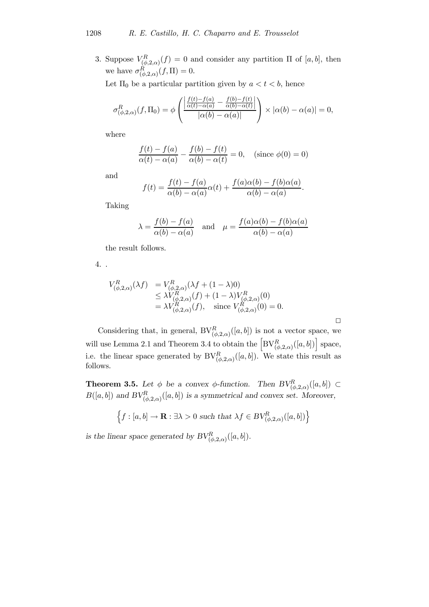3. Suppose  $V_{(\phi,2,\alpha)}^R(f) = 0$  and consider any partition  $\Pi$  of  $[a,b]$ , then we have  $\sigma_{(\phi,2,\alpha)}^R(f,\Pi)=0.$ 

Let  $\Pi_0$  be a particular partition given by  $a < t < b$ , hence

$$
\sigma_{(\phi,2,\alpha)}^R(f,\Pi_0) = \phi\left(\frac{\left|\frac{f(t)-f(a)}{\alpha(t)-\alpha(a)} - \frac{f(b)-f(t)}{\alpha(b)-\alpha(t)}\right|}{|\alpha(b)-\alpha(a)|}\right) \times |\alpha(b)-\alpha(a)| = 0,
$$

where

$$
\frac{f(t) - f(a)}{\alpha(t) - \alpha(a)} - \frac{f(b) - f(t)}{\alpha(b) - \alpha(t)} = 0, \quad \text{(since } \phi(0) = 0\text{)}
$$

and

$$
f(t) = \frac{f(t) - f(a)}{\alpha(b) - \alpha(a)}\alpha(t) + \frac{f(a)\alpha(b) - f(b)\alpha(a)}{\alpha(b) - \alpha(a)}.
$$

Taking

$$
\lambda = \frac{f(b) - f(a)}{\alpha(b) - \alpha(a)}
$$
 and  $\mu = \frac{f(a)\alpha(b) - f(b)\alpha(a)}{\alpha(b) - \alpha(a)}$ 

the result follows.

4. .

$$
V_{(\phi,2,\alpha)}^{R}(\lambda f) = V_{(\phi,2,\alpha)}^{R}(\lambda f + (1 - \lambda)0)
$$
  
\n
$$
\leq \lambda V_{(\phi,2,\alpha)}^{R}(f) + (1 - \lambda)V_{(\phi,2,\alpha)}^{R}(0)
$$
  
\n
$$
= \lambda V_{(\phi,2,\alpha)}^{R}(f), \text{ since } V_{(\phi,2,\alpha)}^{R}(0) = 0.
$$

Considering that, in general,  $BV_{(\phi,2,\alpha)}^R([a,b])$  is not a vector space, we will use Lemma 2.1 and Theorem 3.4 to obtain the  $\left[ BV_{(\phi,2,\alpha)}^R([a,b]) \right]$  space, i.e. the linear space generated by  $BV^R_{(\phi,2,\alpha)}([a,b])$ . We state this result as follows.

**Theorem 3.5.** Let  $\phi$  be a convex  $\phi$ -function. Then  $BV^R_{(\phi,2,\alpha)}([a,b]) \subset$  $B([a, b])$  and  $BV_{(\phi,2,\alpha)}^R([a, b])$  is a symmetrical and convex set. Moreover,

$$
\Big\{f:[a,b]\to\mathbf{R}:\exists\lambda>0\text{ such that }\lambda f\in BV_{(\phi,2,\alpha)}^{R}([a,b])\Big\}
$$

is the linear space generated by  $BV^R_{(\phi,2,\alpha)}([a,b])$ .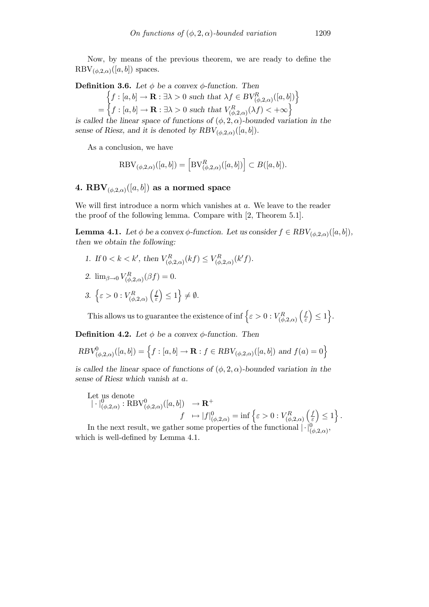Now, by means of the previous theorem, we are ready to define the  $RBV_{(\phi,2,\alpha)}([a,b])$  spaces.

#### **Definition 3.6.** Let  $\phi$  be a convex  $\phi$ -function. Then

$$
\begin{aligned} \left\{ f : [a, b] \to \mathbf{R} : \exists \lambda > 0 \text{ such that } \lambda f \in BV_{(\phi, 2, \alpha)}^R([a, b]) \right\} \\ = \left\{ f : [a, b] \to \mathbf{R} : \exists \lambda > 0 \text{ such that } V_{(\phi, 2, \alpha)}^R(\lambda f) < +\infty \right\} \end{aligned}
$$

is called the linear space of functions of  $(\phi, 2, \alpha)$ -bounded variation in the sense of Riesz, and it is denoted by  $RBV_{(\phi,2,\alpha)}([a,b])$ .

As a conclusion, we have

$$
\text{RBV}_{(\phi,2,\alpha)}([a,b]) = \left[\text{BV}_{(\phi,2,\alpha)}^R([a,b])\right] \subset B([a,b]).
$$

# 4. RBV<sub>( $\phi$ ,2, $\alpha$ )</sub>([a, b]) as a normed space

We will first introduce a norm which vanishes at a. We leave to the reader the proof of the following lemma. Compare with [2, Theorem 5.1].

**Lemma 4.1.** Let  $\phi$  be a convex  $\phi$ -function. Let us consider  $f \in RBV_{(\phi,2,\alpha)}([a, b]),$ then we obtain the following:

- 1. If  $0 < k < k'$ , then  $V_{(\phi,2,\alpha)}^R(kf) \leq V_{(\phi,2,\alpha)}^R(k'f)$ .
- 2.  $\lim_{\beta \to 0} V^R_{(\phi,2,\alpha)}(\beta f) = 0.$
- 3.  $\left\{\varepsilon > 0 : V^R_{(\phi,2,\alpha)}\right\}$  $\int f$ ε  $\Big\} \leq 1$   $\Big\} \neq \emptyset$ .

This allows us to guarantee the existence of inf  $\left\{ \varepsilon > 0 : V_{(\phi,2,\alpha)}^R \right\}$  $\int f$ ε  $\Big\} \leq 1$ .

**Definition 4.2.** Let  $\phi$  be a convex  $\phi$ -function. Then

$$
RBV^0_{(\phi,2,\alpha)}([a,b]) = \left\{ f : [a,b] \to \mathbf{R} : f \in RBV_{(\phi,2,\alpha)}([a,b]) \text{ and } f(a) = 0 \right\}
$$

is called the linear space of functions of  $(\phi, 2, \alpha)$ -bounded variation in the sense of Riesz which vanish at a.

Let us denote  
\n
$$
|\cdot|_{(\phi,2,\alpha)}^0 : \text{RBV}_{(\phi,2,\alpha)}^0([a,b]) \rightarrow \mathbf{R}^+
$$
\n
$$
f \mapsto |f|_{(\phi,2,\alpha)}^0 = \inf \left\{ \varepsilon > 0 : V_{(\phi,2,\alpha)}^R \left( \frac{f}{\varepsilon} \right) \le 1 \right\}.
$$
\nIn the part result, we get

In the next result, we gather some properties of the functional  $|\cdot|_{(\phi,2,\alpha)}^{0}$ , which is well-defined by Lemma 4.1.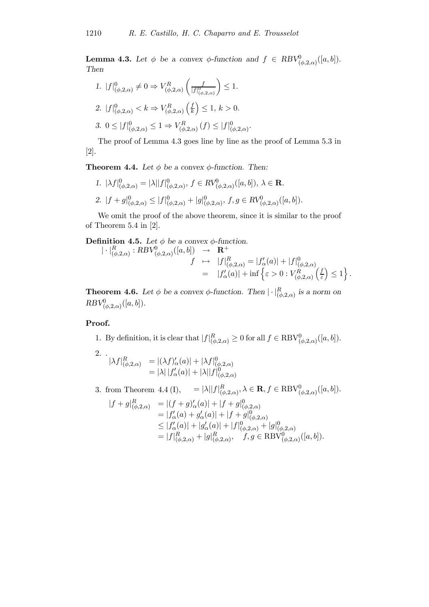**Lemma 4.3.** Let  $\phi$  be a convex  $\phi$ -function and  $f \in RBV^0_{(\phi,2,\alpha)}([a,b])$ . Then

1. 
$$
|f|_{(\phi,2,\alpha)}^0 \neq 0 \Rightarrow V_{(\phi,2,\alpha)}^R \left( \frac{f}{|f|_{(\phi,2,\alpha)}^0} \right) \leq 1.
$$
  
\n2.  $|f|_{(\phi,2,\alpha)}^0 < k \Rightarrow V_{(\phi,2,\alpha)}^R \left( \frac{f}{k} \right) \leq 1, k > 0.$   
\n3.  $0 \leq |f|_{(\phi,2,\alpha)}^0 \leq 1 \Rightarrow V_{(\phi,2,\alpha)}^R \left( f \right) \leq |f|_{(\phi,2,\alpha)}^0.$ 

The proof of Lemma 4.3 goes line by line as the proof of Lemma 5.3 in [\[2\]](#page-18-0).

**Theorem 4.4.** Let  $\phi$  be a convex  $\phi$ -function. Then:

1. 
$$
|\lambda f|_{(\phi,2,\alpha)}^0 = |\lambda||f|_{(\phi,2,\alpha)}^0
$$
,  $f \in RV_{(\phi,2,\alpha)}^0([a,b])$ ,  $\lambda \in \mathbf{R}$ .  
\n2.  $|f + g|_{(\phi,2,\alpha)}^0 \leq |f|_{(\phi,2,\alpha)}^0 + |g|_{(\phi,2,\alpha)}^0$ ,  $f, g \in RV_{(\phi,2,\alpha)}^0([a,b])$ .

We omit the proof of the above theorem, since it is similar to the proof of Theorem 5.4 in [\[2\]](#page-18-0).

**Definition 4.5.** Let  $\phi$  be a convex  $\phi$ -function.

$$
\begin{array}{rcl}\n| \cdot |_{(\phi,2,\alpha)}^R : RBV_{(\phi,2,\alpha)}^0([a,b]) & \to & \mathbf{R}^+ \\
& f & \mapsto & |f|_{(\phi,2,\alpha)}^R = |f'_{\alpha}(a)| + |f|_{(\phi,2,\alpha)}^0 \\
& = & |f'_{\alpha}(a)| + \inf \left\{ \varepsilon > 0 : V_{(\phi,2,\alpha)}^R \left( \frac{f}{\varepsilon} \right) \le 1 \right\}.\n\end{array}
$$

**Theorem 4.6.** Let  $\phi$  be a convex  $\phi$ -function. Then  $|\cdot|_{(\phi,2,\alpha)}^R$  is a norm on  $RBV^0_{(\phi,2,\alpha)}([a,b]).$ 

#### Proof.

1. By definition, it is clear that  $|f|_{(\phi,2,\alpha)}^R \ge 0$  for all  $f \in \text{RBV}_{(\phi,2,\alpha)}^0([a,b])$ .

2. 
$$
|\lambda f|_{(\phi,2,\alpha)}^{R} = |(\lambda f)'_{\alpha}(a)| + |\lambda f|_{(\phi,2,\alpha)}^{0}
$$

$$
= |\lambda| |f'_{\alpha}(a)| + |\lambda| |f|_{(\phi,2,\alpha)}^{0}
$$

3. from Theorem 4.4 (I),  $= |\lambda| |f|_{(\phi,2,\alpha)}^R$ ,  $\lambda \in \mathbf{R}, f \in \text{RBV}_{(\phi,2,\alpha)}^0([a,b]).$ 

$$
|f+g|_{(\phi,2,\alpha)}^{R} = |(f+g)'_{\alpha}(a)| + |f+g|_{(\phi,2,\alpha)}^{0}
$$
  
\n
$$
= |f'_{\alpha}(a) + g'_{\alpha}(a)| + |f+g|_{(\phi,2,\alpha)}^{0}
$$
  
\n
$$
\leq |f'_{\alpha}(a)| + |g'_{\alpha}(a)| + |f|_{(\phi,2,\alpha)}^{0} + |g|_{(\phi,2,\alpha)}^{0}
$$
  
\n
$$
= |f|_{(\phi,2,\alpha)}^{R} + |g|_{(\phi,2,\alpha)}^{R}, \quad f, g \in \text{RBV}_{(\phi,2,\alpha)}^{0}([a,b]).
$$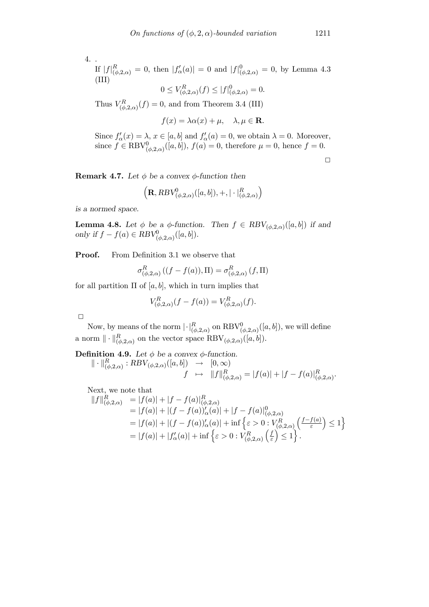$$
4. .
$$

If 
$$
|f|_{(\phi,2,\alpha)}^R = 0
$$
, then  $|f'_{\alpha}(a)| = 0$  and  $|f|_{(\phi,2,\alpha)}^0 = 0$ , by Lemma 4.3  
(III)  
 $0 \le V_{(\phi,2,\alpha)}^R(f) \le |f|_{(\phi,2,\alpha)}^0 = 0$ .

Thus  $V_{(\phi,2,\alpha)}^R(f) = 0$ , and from Theorem 3.4 (III)

$$
f(x) = \lambda \alpha(x) + \mu, \quad \lambda, \mu \in \mathbf{R}.
$$

Since  $f'_{\alpha}(x) = \lambda$ ,  $x \in [a, b]$  and  $f'_{\alpha}(a) = 0$ , we obtain  $\lambda = 0$ . Moreover, since  $f \in \text{RBV}_{(\phi,2,\alpha)}^0([a,b]),$   $f(a) = 0$ , therefore  $\mu = 0$ , hence  $f = 0$ .

 $\Box$ 

**Remark 4.7.** Let  $\phi$  be a convex  $\phi$ -function then

$$
\Big(\mathbf{R},RBV^0_{(\phi,2,\alpha)}([a,b]),+,|\cdot|_{(\phi,2,\alpha)}^R\Big)
$$

is a normed space.

**Lemma 4.8.** Let  $\phi$  be a  $\phi$ -function. Then  $f \in RBV_{(\phi,2,\alpha)}([a, b])$  if and only if  $f - f(a) \in RBV^0_{(\phi,2,\alpha)}([a,b]).$ 

**Proof.** From Definition 3.1 we observe that

$$
\sigma^R_{(\phi,2,\alpha)}((f-f(a)),\Pi)=\sigma^R_{(\phi,2,\alpha)}(f,\Pi)
$$

for all partition  $\Pi$  of [a, b], which in turn implies that

$$
V_{(\phi,2,\alpha)}^{R}(f - f(a)) = V_{(\phi,2,\alpha)}^{R}(f).
$$

 $\Box$ 

 $\mathbb I$ 

Now, by means of the norm  $\lvert \cdot \rvert_{(\phi,2,\alpha)}^R$  on  $\text{RBV}_{(\phi,2,\alpha)}^0([a,b]),$  we will define a norm  $\|\cdot\|_{(\phi,2,\alpha)}^R$  on the vector space  $\text{RBV}_{(\phi,2,\alpha)}([a, b]).$ 

**Definition 4.9.** Let  $\phi$  be a convex  $\phi$ -function.

$$
\cdot \parallel_{(\phi,2,\alpha)}^R : RBV_{(\phi,2,\alpha)}([a,b]) \rightarrow [0,\infty)
$$
  

$$
f \mapsto \|f\|_{(\phi,2,\alpha)}^R = |f(a)| + |f - f(a)|_{(\phi,2,\alpha)}^R.
$$

Next, we note that

$$
||f||_{(\phi,2,\alpha)}^{R} = |f(a)| + |f - f(a)|_{(\phi,2,\alpha)}^{R}
$$
  
\n= |f(a)| + |(f - f(a))'\_{\alpha}(a)| + |f - f(a)|\_{(\phi,2,\alpha)}^{0}  
\n= |f(a)| + |(f - f(a))'\_{\alpha}(a)| + inf \{ \varepsilon > 0 : V\_{(\phi,2,\alpha)}^{R} \left( \frac{f - f(a)}{\varepsilon} \right) \le 1 \}  
\n= |f(a)| + |f'\_{\alpha}(a)| + inf \{ \varepsilon > 0 : V\_{(\phi,2,\alpha)}^{R} \left( \frac{f}{\varepsilon} \right) \le 1 \}.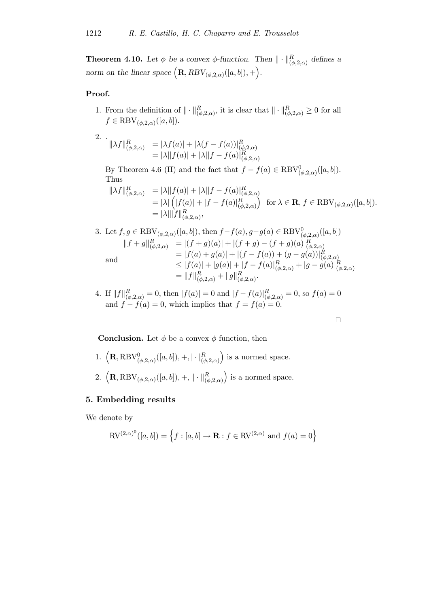**Theorem 4.10.** Let  $\phi$  be a convex  $\phi$ -function. Then  $\|\cdot\|_{(\phi,2,\alpha)}^R$  defines a norm on the linear space  $(\mathbf{R}, RBV_{(\phi,2,\alpha)}([a, b]), +).$ 

# Proof.

1. From the definition of  $\|\cdot\|_{(\phi,2,\alpha)}^R$ , it is clear that  $\|\cdot\|_{(\phi,2,\alpha)}^R \geq 0$  for all  $f \in \text{RBV}_{(\phi,2,\alpha)}([a,b]).$ 

2. 
$$
\|\lambda f\|_{(\phi,2,\alpha)}^R = |\lambda f(a)| + |\lambda (f - f(a))|_{(\phi,2,\alpha)}^R
$$
  
=  $|\lambda||f(a)| + |\lambda||f - f(a)|_{(\phi,2,\alpha)}^R$ 

By Theorem 4.6 (II) and the fact that  $f - f(a) \in \text{RBV}_{(\phi,2,\alpha)}^0([a,b])$ . Thus

$$
\begin{aligned} \|\lambda f\|_{(\phi,2,\alpha)}^R &= |\lambda| |f(a)| + |\lambda| |f - f(a)|_{(\phi,2,\alpha)}^R \\ &= |\lambda| \left( |f(a)| + |f - f(a)|_{(\phi,2,\alpha)}^R \right) \quad \text{for } \lambda \in \mathbf{R}, f \in \text{RBV}_{(\phi,2,\alpha)}([a,b]). \\ &= |\lambda| \|f\|_{(\phi,2,\alpha)}^R, \end{aligned}
$$

3. Let 
$$
f, g \in \text{RBV}_{(\phi,2,\alpha)}([a,b])
$$
, then  $f - f(a), g - g(a) \in \text{RBV}_{(\phi,2,\alpha)}^0([a,b])$   
\n
$$
||f + g||_{(\phi,2,\alpha)}^R = |(f + g)(a)| + |(f + g) - (f + g)(a)|_{(\phi,2,\alpha)}^R
$$
\nand\n
$$
= |f(a) + g(a)| + |(f - f(a)) + (g - g(a))|_{(\phi,2,\alpha)}^R
$$
\n
$$
\leq |f(a)| + |g(a)| + |f - f(a)|_{(\phi,2,\alpha)}^R + |g - g(a)|_{(\phi,2,\alpha)}^R
$$
\n
$$
= ||f||_{(\phi,2,\alpha)}^R + ||g||_{(\phi,2,\alpha)}^R.
$$

4. If  $||f||_{(\phi,2,\alpha)}^R = 0$ , then  $|f(a)| = 0$  and  $|f - f(a)|_{(\phi,2,\alpha)}^R = 0$ , so  $f(a) = 0$ and  $f - f(a) = 0$ , which implies that  $f = f(a) = 0$ .

$$
\qquad \qquad \Box
$$

**Conclusion.** Let  $\phi$  be a convex  $\phi$  function, then

- 1.  $\left( {\bf R}, {\rm RBV}_{(\phi,2,\alpha)}^{0}([a,b]), +, | \cdot |_{(\phi,2,\alpha)}^{R} \right)$ ) is a normed space.
- 2.  $\left( {\bf R}, {\rm RBV_{(\phi,2,\alpha)}}([a,b]), +, \|\cdot\|_{(\phi,2,\alpha)}^R \right)$ ) is a normed space.

# 5. Embedding results

We denote by

$$
\text{RV}^{(2,\alpha)^{0}}([a,b]) = \left\{ f : [a,b] \to \mathbf{R} : f \in \text{RV}^{(2,\alpha)} \text{ and } f(a) = 0 \right\}
$$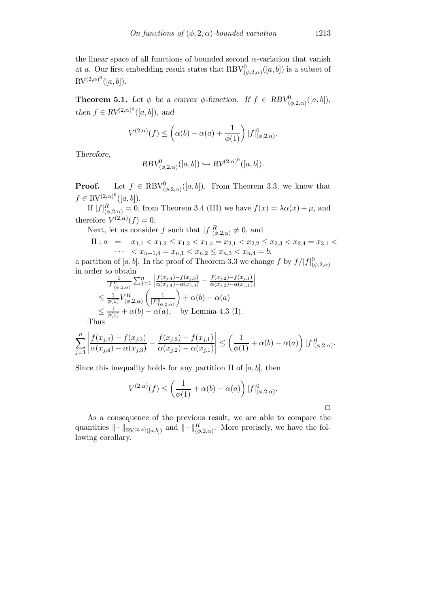the linear space of all functions of bounded second  $\alpha$ -variation that vanish at a. Our first embedding result states that  $\text{RBV}^0_{(\phi,2,\alpha)}([a,b])$  is a subset of  $RV^{(2,\alpha)^0}([a,b])$ .

**Theorem 5.1.** Let  $\phi$  be a convex  $\phi$ -function. If  $f \in RBV^0_{(\phi,2,\alpha)}([a,b]),$ then  $f \in RV^{(2,\alpha)^0}([a, b])$ , and

$$
V^{(2,\alpha)}(f) \leq \left(\alpha(b) - \alpha(a) + \frac{1}{\phi(1)}\right) |f|_{(\phi,2,\alpha)}^0.
$$

Therefore,

$$
RBV^0_{(\phi,2,\alpha)}([a,b]) \hookrightarrow RV^{(2,\alpha)^0}([a,b]).
$$

**Proof.** Let  $f \in \text{RBV}_{(\phi,2,\alpha)}^0([a,b])$ . From Theorem 3.3, we know that  $f \in \text{RV}^{(2,\alpha)^0}([a,b]).$ 

If  $|f|_{(\phi,2,\alpha)}^R=0$ , from Theorem 3.4 (III) we have  $f(x)=\lambda\alpha(x)+\mu$ , and therefore  $V^{(2,\alpha)}(f)=0$ .

Next, let us consider f such that  $|f|_{(\phi,2,\alpha)}^R \neq 0$ , and

$$
\Pi: a = x_{1,1} < x_{1,2} \le x_{1,3} < x_{1,4} = x_{2,1} < x_{2,2} \le x_{2,3} < x_{2,4} = x_{3,1} < x_{3,2} < x_{3,1} < x_{3,2} < x_{3,3} < x_{3,4} = b.
$$

 $\begin{array}{c} \end{array}$ 

a partition of [a, b]. In the proof of Theorem 3.3 we change f by  $f/|f|_{(\phi,2,\alpha)}^0$ in order to obtain ¯ ¯

$$
\frac{1}{|f|_{(\phi,2,\alpha)}^0} \sum_{j=1}^n \left| \frac{f(x_{j,4}) - f(x_{j,3})}{\alpha(x_{j,4}) - \alpha(x_{j,3})} - \frac{f(x_{j,2}) - f(x_{j,1})}{\alpha(x_{j,2}) - \alpha(x_{j,1})} \right|
$$
  
\n
$$
\leq \frac{1}{\phi(1)} V_{(\phi,2,\alpha)}^R \left( \frac{1}{|f|_{(\phi,2,\alpha)}^0} \right) + \alpha(b) - \alpha(a)
$$
  
\n
$$
\leq \frac{1}{\phi(1)} + \alpha(b) - \alpha(a), \quad \text{by Lemma 4.3 (I)}.
$$

Thus

$$
\sum_{j=1}^n \left| \frac{f(x_{j,4}) - f(x_{j,3})}{\alpha(x_{j,4}) - \alpha(x_{j,3})} - \frac{f(x_{j,2}) - f(x_{j,1})}{\alpha(x_{j,2}) - \alpha(x_{j,1})} \right| \le \left( \frac{1}{\phi(1)} + \alpha(b) - \alpha(a) \right) |f|_{(\phi,2,\alpha)}^0.
$$

Since this inequality holds for any partition  $\Pi$  of [a, b], then

$$
V^{(2,\alpha)}(f) \le \left(\frac{1}{\phi(1)} + \alpha(b) - \alpha(a)\right) |f|_{(\phi,2,\alpha)}^0.
$$

As a consequence of the previous result, we are able to compare the quantities  $\|\cdot\|_{\text{RV}(2,\alpha)([a,b])}$  and  $\|\cdot\|_{(\phi,2,\alpha)}^R$ . More precisely, we have the following corollary.

 $\Box$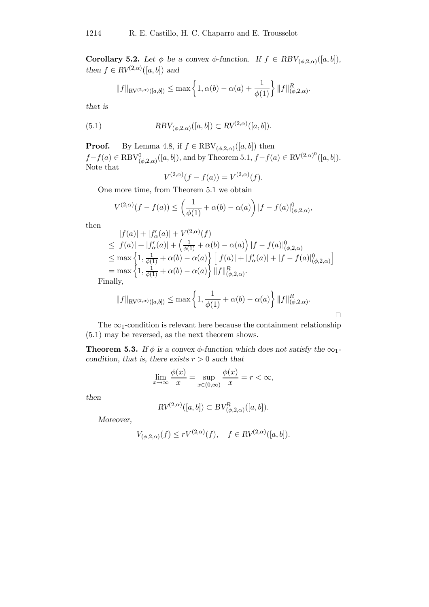**Corollary 5.2.** Let  $\phi$  be a convex  $\phi$ -function. If  $f \in RBV_{(\phi, 2, \alpha)}([a, b]),$ then  $f \in RV^{(2,\alpha)}([a,b])$  and

$$
||f||_{\text{RV}(2,\alpha)}([a,b]) \le \max\left\{1,\alpha(b)-\alpha(a)+\frac{1}{\phi(1)}\right\}||f||^R_{(\phi,2,\alpha)}.
$$

that is

(5.1) 
$$
RBV_{(\phi,2,\alpha)}([a,b]) \subset RV^{(2,\alpha)}([a,b]).
$$

**Proof.** By Lemma 4.8, if  $f \in \text{RBV}_{(\phi,2,\alpha)}([a, b])$  then  $f - f(a) \in \text{RBV}_{(\phi,2,\alpha)}^{0}([a,b]),$  and by Theorem 5.1,  $f - f(a) \in \text{RV}^{(2,\alpha)^{0}}([a,b]).$ Note that

$$
V^{(2,\alpha)}(f - f(a)) = V^{(2,\alpha)}(f).
$$

One more time, from Theorem 5.1 we obtain

$$
V^{(2,\alpha)}(f - f(a)) \le \left(\frac{1}{\phi(1)} + \alpha(b) - \alpha(a)\right) |f - f(a)|^0_{(\phi,2,\alpha)},
$$

then

$$
|f(a)| + |f'_{\alpha}(a)| + V^{(2,\alpha)}(f)
$$
  
\n
$$
\leq |f(a)| + |f'_{\alpha}(a)| + \left(\frac{1}{\phi(1)} + \alpha(b) - \alpha(a)\right)|f - f(a)|^0_{(\phi,2,\alpha)}
$$
  
\n
$$
\leq \max\left\{1, \frac{1}{\phi(1)} + \alpha(b) - \alpha(a)\right\} \left[|f(a)| + |f'_{\alpha}(a)| + |f - f(a)|^0_{(\phi,2,\alpha)}\right]
$$
  
\n
$$
= \max\left\{1, \frac{1}{\phi(1)} + \alpha(b) - \alpha(a)\right\} ||f||^R_{(\phi,2,\alpha)}.
$$
  
\n
$$
= ||f||^R_{(\phi,2,\alpha)}.
$$

Finally,

$$
||f||_{\text{RV}^{(2,\alpha)}([a,b])} \leq \max \left\{ 1, \frac{1}{\phi(1)} + \alpha(b) - \alpha(a) \right\} ||f||^R_{(\phi,2,\alpha)}.
$$

 $\Box$ 

The  $\infty$ -condition is relevant here because the containment relationship (5.1) may be reversed, as the next theorem shows.

**Theorem 5.3.** If  $\phi$  is a convex  $\phi$ -function which does not satisfy the  $\infty_1$ condition, that is, there exists  $r > 0$  such that

$$
\lim_{x \to \infty} \frac{\phi(x)}{x} = \sup_{x \in (0,\infty)} \frac{\phi(x)}{x} = r < \infty,
$$

then

$$
RV^{(2,\alpha)}([a,b]) \subset BV_{(\phi,2,\alpha)}^R([a,b]).
$$

Moreover,

$$
V_{(\phi,2,\alpha)}(f) \le rV^{(2,\alpha)}(f), \quad f \in RV^{(2,\alpha)}([a,b]).
$$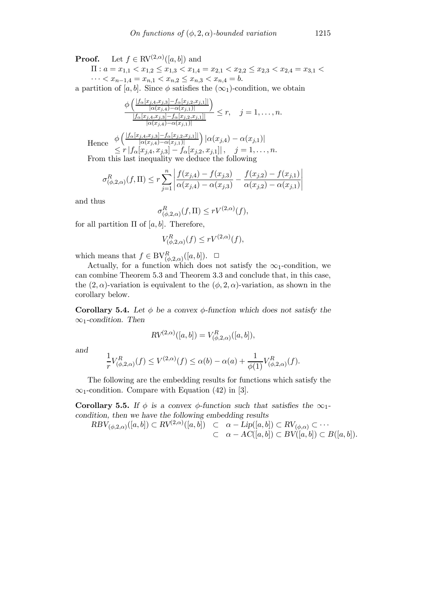**Proof.** Let  $f \in \text{RV}^{(2,\alpha)}([a,b])$  and

 $\Pi: a = x_{1,1} < x_{1,2} \leq x_{1,3} < x_{1,4} = x_{2,1} < x_{2,2} \leq x_{2,3} < x_{2,4} = x_{3,1} < x_{3,2}$  $\cdots < x_{n-1,4} = x_{n,1} < x_{n,2} \le x_{n,3} < x_{n,4} = b.$ 

a partition of [a, b]. Since  $\phi$  satisfies the ( $\infty$ <sub>1</sub>)-condition, we obtain

$$
\frac{\phi\left(\frac{|f_{\alpha}[x_{j,4},x_{j,3}]-f_{\alpha}[x_{j,2},x_{j,1}]|}{|\alpha(x_{j,4})-\alpha(x_{j,1})|}\right)}{\frac{|f_{\alpha}[x_{j,4},x_{j,3}]-f_{\alpha}[x_{j,2},x_{j,1}]|}{|\alpha(x_{j,4})-\alpha(x_{j,1})|}} \leq r, \quad j=1,\ldots,n.
$$
\nHence\n
$$
\frac{\phi\left(\frac{|f_{\alpha}[x_{j,4},x_{j,3}]-f_{\alpha}[x_{j,2},x_{j,1}]|}{|\alpha(x_{j,4})-\alpha(x_{j,1})|}\right)|\alpha(x_{j,4})-\alpha(x_{j,1})|}{|\alpha(x_{j,4},x_{j,3}]-f_{\alpha}[x_{j,2},x_{j,1}]|}, \quad j=1,\ldots,n.
$$

From this last inequality we deduce the following

$$
\sigma_{(\phi,2,\alpha)}^R(f,\Pi) \le r \sum_{j=1}^n \left| \frac{f(x_{j,4}) - f(x_{j,3})}{\alpha(x_{j,4}) - \alpha(x_{j,3})} - \frac{f(x_{j,2}) - f(x_{j,1})}{\alpha(x_{j,2}) - \alpha(x_{j,1})} \right|
$$

and thus

$$
\sigma^R_{(\phi,2,\alpha)}(f,\Pi)\leq r V^{(2,\alpha)}(f),
$$

for all partition  $\Pi$  of [a, b]. Therefore,

$$
V^R_{(\phi,2,\alpha)}(f) \le rV^{(2,\alpha)}(f),
$$

which means that  $f \in BV_{(\phi,2,\alpha)}^R([a,b])$ .  $\Box$ 

Actually, for a function which does not satisfy the  $\infty_1$ -condition, we can combine Theorem 5.3 and Theorem 3.3 and conclude that, in this case, the  $(2, \alpha)$ -variation is equivalent to the  $(\phi, 2, \alpha)$ -variation, as shown in the corollary below.

Corollary 5.4. Let  $\phi$  be a convex  $\phi$ -function which does not satisfy the  $\infty$ 1-condition. Then

$$
RV^{(2,\alpha)}([a,b]) = V^{R}_{(\phi,2,\alpha)}([a,b]),
$$

and

$$
\frac{1}{r}V_{(\phi,2,\alpha)}^R(f)\leq V^{(2,\alpha)}(f)\leq \alpha(b)-\alpha(a)+\frac{1}{\phi(1)}V_{(\phi,2,\alpha)}^R(f).
$$

The following are the embedding results for functions which satisfy the  $\infty$ <sub>1</sub>-condition. Compare with Equation (42) in [\[3\].](#page-18-0)

Corollary 5.5. If  $\phi$  is a convex  $\phi$ -function such that satisfies the  $\infty_1$ condition, then we have the following embedding results

$$
RBV_{(\phi,2,\alpha)}([a,b]) \subset RV^{(2,\alpha)}([a,b]) \quad \subset \quad \alpha-\text{Lip}([a,b]) \subset RV_{(\phi,\alpha)} \subset \cdots
$$

$$
\subset \quad \alpha-\text{AC}([a,b]) \subset BV([a,b]) \subset B([a,b]).
$$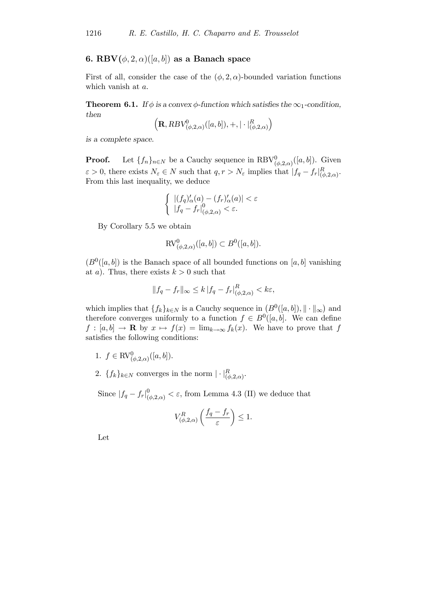# 6. RBV $(\phi, 2, \alpha)$  $([a, b])$  as a Banach space

First of all, consider the case of the  $(\phi, 2, \alpha)$ -bounded variation functions which vanish at a.

**Theorem 6.1.** If  $\phi$  is a convex  $\phi$ -function which satisfies the  $\infty_1$ -condition, then

$$
\left(\mathbf{R},RBV^0_{(\phi,2,\alpha)}([a,b]),+,|\cdot|_{(\phi,2,\alpha)}^R\right)
$$

is a complete space.

**Proof.** Let  $\{f_n\}_{n\in\mathbb{N}}$  be a Cauchy sequence in  $\text{RBV}^0_{(\phi,2,\alpha)}([a,b])$ . Given  $\varepsilon > 0$ , there exists  $N_{\varepsilon} \in N$  such that  $q, r > N_{\varepsilon}$  implies that  $|f_q - f_r|_{(\phi, 2, \alpha)}^R$ . From this last inequality, we deduce

$$
\begin{cases} |(f_q)'_{\alpha}(a) - (f_r)'_{\alpha}(a)| < \varepsilon \\ |f_q - f_r|_{(\phi,2,\alpha)}^0 < \varepsilon. \end{cases}
$$

By Corollary 5.5 we obtain

$$
RV_{(\phi,2,\alpha)}^0([a,b]) \subset B^0([a,b]).
$$

 $(B^0([a, b])$  is the Banach space of all bounded functions on [a, b] vanishing at a). Thus, there exists  $k > 0$  such that

$$
||f_q - f_r||_{\infty} \le k |f_q - f_r|_{(\phi, 2, \alpha)}^R < k\varepsilon,
$$

which implies that  $\{f_k\}_{k\in\mathbb{N}}$  is a Cauchy sequence in  $(B^0([a, b]), \|\cdot\|_{\infty})$  and therefore converges uniformly to a function  $f \in B^0([a, b])$ . We can define  $f : [a, b] \to \mathbf{R}$  by  $x \mapsto f(x) = \lim_{k \to \infty} f_k(x)$ . We have to prove that f satisfies the following conditions:

- 1.  $f \in \text{RV}_{(\phi,2,\alpha)}^0([a,b]).$
- 2.  $\{f_k\}_{k\in\mathbb{N}}$  converges in the norm  $|\cdot|_{(\phi,2,\alpha)}^R$ .

Since  $|f_q - f_r|_{(\phi,2,\alpha)}^0 < \varepsilon$ , from Lemma 4.3 (II) we deduce that

$$
V_{(\phi,2,\alpha)}^R\left(\frac{f_q - f_r}{\varepsilon}\right) \le 1.
$$

Let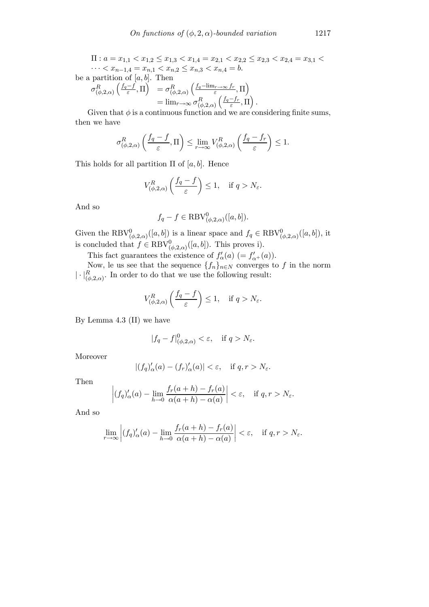$\Pi: a = x_{1,1} < x_{1,2} \leq x_{1,3} < x_{1,4} = x_{2,1} < x_{2,2} \leq x_{2,3} < x_{2,4} = x_{3,1} < x_{3,2}$  $\cdots < x_{n-1,4} = x_{n,1} < x_{n,2} \le x_{n,3} < x_{n,4} = b.$ 

be a partition of  $[a, b]$ . Then

$$
\sigma_{(\phi,2,\alpha)}^R \left( \frac{f_q - f}{\varepsilon}, \Pi \right) = \sigma_{(\phi,2,\alpha)}^R \left( \frac{f_q - \lim_{r \to \infty} f_r}{\varepsilon}, \Pi \right)
$$
  
= 
$$
\lim_{r \to \infty} \sigma_{(\phi,2,\alpha)}^R \left( \frac{f_q - f_r}{\varepsilon}, \Pi \right)
$$

Given that  $\phi$  is a continuous function and we are considering finite sums, then we have

.

$$
\sigma_{(\phi,2,\alpha)}^R\left(\frac{f_q - f}{\varepsilon},\Pi\right) \le \lim_{r \to \infty} V_{(\phi,2,\alpha)}^R\left(\frac{f_q - f_r}{\varepsilon}\right) \le 1.
$$

This holds for all partition  $\Pi$  of [a, b]. Hence

$$
V_{(\phi,2,\alpha)}^R\left(\frac{f_q-f}{\varepsilon}\right) \le 1, \quad \text{if } q > N_{\varepsilon}.
$$

And so

$$
f_q - f \in \text{RBV}_{(\phi,2,\alpha)}^0([a,b]).
$$

Given the RBV<sub> $(\phi, 2, \alpha)$ </sub> $([a, b])$  is a linear space and  $f_q \in \text{RBV}^0_{(\phi, 2, \alpha)}([a, b])$ , it is concluded that  $f \in RBV^0_{(\phi,2,\alpha)}([a,b])$ . This proves i).

This fact guarantees the existence of  $f'_{\alpha}(a) (= f'_{\alpha+}(a)).$ 

Now, le us see that the sequence  $\{f_n\}_{n\in\mathbb{N}}$  converges to f in the norm  $|\cdot|_{(\phi,2,\alpha)}^R$ . In order to do that we use the following result:

$$
V_{(\phi,2,\alpha)}^R\left(\frac{f_q-f}{\varepsilon}\right) \le 1, \quad \text{if } q > N_{\varepsilon}.
$$

By Lemma 4.3 (II) we have

$$
|f_q - f|_{(\phi,2,\alpha)}^0 < \varepsilon, \quad \text{if } q > N_{\varepsilon}.
$$

Moreover

$$
|(f_q)'_{\alpha}(a) - (f_r)'_{\alpha}(a)| < \varepsilon, \quad \text{if } q, r > N_{\varepsilon}.
$$

Then

$$
\left| (f_q)'_{\alpha}(a) - \lim_{h \to 0} \frac{f_r(a+h) - f_r(a)}{\alpha(a+h) - \alpha(a)} \right| < \varepsilon, \quad \text{if } q, r > N_{\varepsilon}.
$$

And so

$$
\lim_{r \to \infty} \left| (f_q)'_{\alpha}(a) - \lim_{h \to 0} \frac{f_r(a+h) - f_r(a)}{\alpha(a+h) - \alpha(a)} \right| < \varepsilon, \quad \text{if } q, r > N_{\varepsilon}.
$$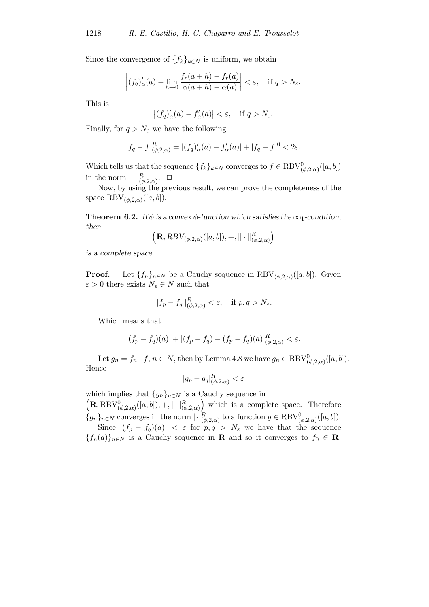Since the convergence of  ${f_k}_{k \in N}$  is uniform, we obtain

$$
\left| (f_q)'_{\alpha}(a) - \lim_{h \to 0} \frac{f_r(a+h) - f_r(a)}{\alpha(a+h) - \alpha(a)} \right| < \varepsilon, \quad \text{if } q > N_{\varepsilon}.
$$

This is

$$
\left| (f_q)'_{\alpha}(a) - f'_{\alpha}(a) \right| < \varepsilon, \quad \text{if } q > N_{\varepsilon}.
$$

Finally, for  $q > N_{\varepsilon}$  we have the following

$$
|f_q - f|_{(\phi,2,\alpha)}^R = |(f_q)'_{\alpha}(a) - f'_{\alpha}(a)| + |f_q - f|^0 < 2\varepsilon.
$$

Which tells us that the sequence  $\{f_k\}_{k\in\mathbb{N}}$  converges to  $f\in \text{RBV}_{(\phi,2,\alpha)}^0([a,b])$ in the norm  $|\cdot|_{(\phi,2,\alpha)}^R$ .  $\square$ 

Now, by using the previous result, we can prove the completeness of the space RBV<sub>( $\phi$ ,2, $\alpha$ )</sub>([ $a$ , $b$ ]).

**Theorem 6.2.** If  $\phi$  is a convex  $\phi$ -function which satisfies the  $\infty_1$ -condition, then

$$
\Big(\mathbf{R},RBV_{(\phi,2,\alpha)}([a,b]),+,\|\cdot\|_{(\phi,2,\alpha)}^R\Big)
$$

is a complete space.

**Proof.** Let  $\{f_n\}_{n\in\mathbb{N}}$  be a Cauchy sequence in RBV<sub>( $\phi$ ,2, $\alpha$ )([a, b]). Given</sub>  $\varepsilon > 0$  there exists  $N_{\varepsilon} \in N$  such that

$$
||f_p - f_q||_{(\phi,2,\alpha)}^R < \varepsilon, \quad \text{if } p, q > N_\varepsilon.
$$

Which means that

$$
|(f_p - f_q)(a)| + |(f_p - f_q) - (f_p - f_q)(a)|_{(\phi, 2, \alpha)}^R < \varepsilon.
$$

Let  $g_n = f_n - f$ ,  $n \in N$ , then by Lemma 4.8 we have  $g_n \in \text{RBV}_{(\phi,2,\alpha)}^0([a,b])$ . Hence

$$
|g_p - g_q|_{(\phi, 2, \alpha)}^R < \varepsilon
$$

which implies that  ${g_n}_{n\in\mathbb{N}}$  is a Cauchy sequence in

 $\left( \mathbf{R}, \text{RBV}_{(\phi,2,\alpha)}^{0}([a,b]), +, \|\cdot\|_{(\phi,2,\alpha)}^{R} \right)$ ) which is a complete space. Therefore  $\{g_n\}_{n\in\mathbb{N}}$  converges in the norm  $\lvert \cdot \rvert_{(\phi,2,\alpha)}^R$  to a function  $g \in \text{RBV}_{(\phi,2,\alpha)}^0([a,b])$ .

Since  $|(f_p - f_q)(a)| < \varepsilon$  for  $p, q > N_{\varepsilon}$  we have that the sequence  ${f_n(a)}_{n\in\mathbb{N}}$  is a Cauchy sequence in **R** and so it converges to  $f_0 \in \mathbf{R}$ .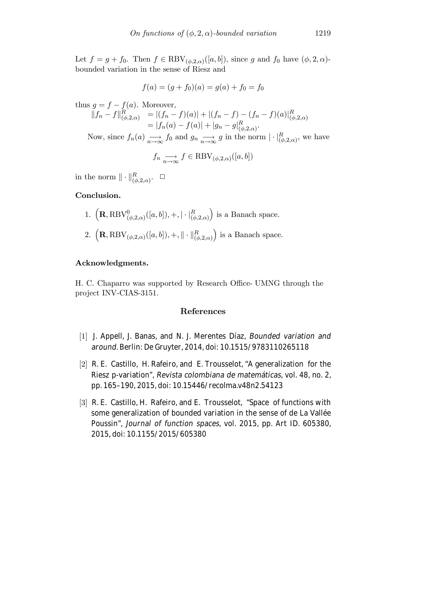<span id="page-18-0"></span>Let  $f = g + f_0$ . Then  $f \in \text{RBV}_{(\phi,2,\alpha)}([a,b])$ , since g and  $f_0$  have  $(\phi,2,\alpha)$ bounded variation in the sense of Riesz and

$$
f(a) = (g + f_0)(a) = g(a) + f_0 = f_0
$$

thus  $q = f - f(a)$ . Moreover,  $||f_n - f||^R_{(\phi,2,\alpha)} = |(f_n - f)(a)| + |(f_n - f) - (f_n - f)(a)|^R_{(\phi,2,\alpha)}$  $= |f_n(a) - f(a)| + |g_n - g|_{(\phi, 2, \alpha)}^R.$ Now, since  $f_n(a) \longrightarrow_{n \to \infty} f_0$  and  $g_n \longrightarrow_{n \to \infty} g$  in the norm  $|\cdot|_{(\phi,2,\alpha)}^R$ , we have  $f_n \underset{n \to \infty}{\longrightarrow} f \in \text{RBV}_{(\phi,2,\alpha)}([a,b])$ 

in the norm  $\|\cdot\|_{(\phi,2,\alpha)}^R$ .  $\Box$ 

# Conclusion.

1.  $\left( {\bf R}, {\rm RBV}_{(\phi,2,\alpha)}^{0}([a,b]), +, | \cdot |_{(\phi,2,\alpha)}^{R} \right)$ ) is a Banach space. 2.  $\left( \mathbf{R}, \text{RBV}_{(\phi,2,\alpha)}([a, b]), +, \|\cdot\|_{(\phi,2,\alpha)}^R \right)$ ) is a Banach space.

#### Acknowledgments.

H. C. Chaparro was supported by Research Office- UMNG through the project INV-CIAS-3151.

# References

- [1] J. Appell, J. Banas, and N. J. Merentes Díaz, *Bounded variation and around*. Berlin: De Gruyter, 2014, doi: [10.1515/9783110265118](https://doi.org/10.1515/9783110265118)
- [2] R. E. Castillo, H. Rafeiro, and E. Trousselot, "A generalization for the Riesz p-variation", *Revista colombiana de matemáticas*, vol. 48, no. 2, pp. 165–190, 2015, doi: [10.15446/recolma.v48n2.54123](https://doi.org/10.15446/recolma.v48n2.54123)
- [3] R. E. Castillo, H. Rafeiro, and E. Trousselot, "Space of functions with some generalization of bounded variation in the sense of de La Vallée Poussin", *Journal of function spaces*, vol. 2015, pp. Art ID. 605380, 2015, doi: [10.1155/2015/605380](https://doi.org/10.1155/2015/605380)